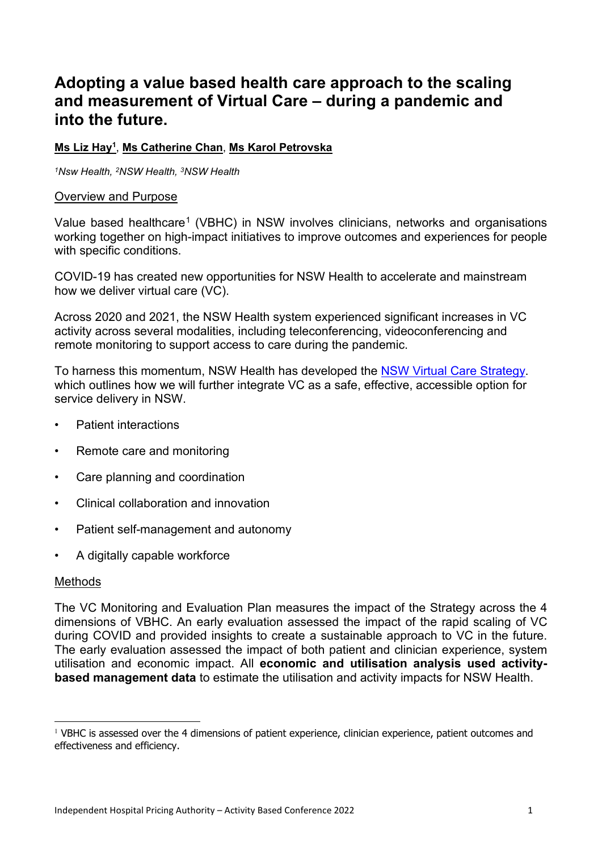# **Adopting a value based health care approach to the scaling and measurement of Virtual Care – during a pandemic and into the future.**

**Ms Liz Hay1** , **Ms Catherine Chan**, **Ms Karol Petrovska**

*1Nsw Health, 2NSW Health, 3NSW Health*

#### Overview and Purpose

Value based healthcare<sup>[1](#page-0-0)</sup> (VBHC) in NSW involves clinicians, networks and organisations working together on high-impact initiatives to improve outcomes and experiences for people with specific conditions.

COVID-19 has created new opportunities for NSW Health to accelerate and mainstream how we deliver virtual care (VC).

Across 2020 and 2021, the NSW Health system experienced significant increases in VC activity across several modalities, including teleconferencing, videoconferencing and remote monitoring to support access to care during the pandemic.

To harness this momentum, NSW Health has developed the [NSW Virtual Care Strategy.](https://www.health.nsw.gov.au/virtualcare/Pages/nsw-health-virtual-care-strategy-feb-2022.aspx) which outlines how we will further integrate VC as a safe, effective, accessible option for service delivery in NSW.

- Patient interactions
- Remote care and monitoring
- Care planning and coordination
- Clinical collaboration and innovation
- Patient self-management and autonomy
- A digitally capable workforce

### **Methods**

The VC Monitoring and Evaluation Plan measures the impact of the Strategy across the 4 dimensions of VBHC. An early evaluation assessed the impact of the rapid scaling of VC during COVID and provided insights to create a sustainable approach to VC in the future. The early evaluation assessed the impact of both patient and clinician experience, system utilisation and economic impact. All **economic and utilisation analysis used activitybased management data** to estimate the utilisation and activity impacts for NSW Health.

<span id="page-0-0"></span><sup>&</sup>lt;sup>1</sup> VBHC is assessed over the 4 dimensions of patient experience, clinician experience, patient outcomes and effectiveness and efficiency.